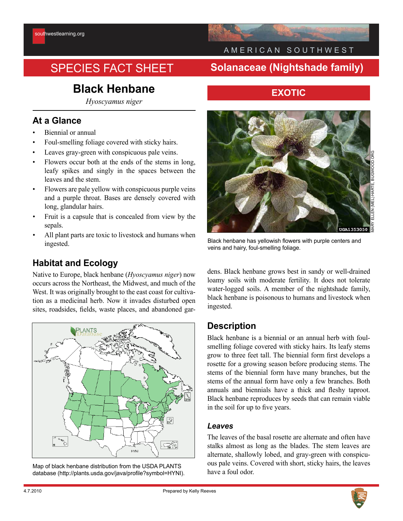# SPECIES FACT SHEET **Solanaceae (Nightshade family)**

# **Black Henbane**

*Hyoscyamus niger*

## **At a Glance**

- Biennial or annual
- Foul-smelling foliage covered with sticky hairs.
- Leaves gray-green with conspicuous pale veins.
- Flowers occur both at the ends of the stems in long, leafy spikes and singly in the spaces between the leaves and the stem.
- Flowers are pale yellow with conspicuous purple veins and a purple throat. Bases are densely covered with long, glandular hairs.
- Fruit is a capsule that is concealed from view by the sepals.
- All plant parts are toxic to livestock and humans when ingested.

## **Habitat and Ecology**

Native to Europe, black henbane (*Hyoscyamus niger*) now occurs across the Northeast, the Midwest, and much of the West. It was originally brought to the east coast for cultivation as a medicinal herb. Now it invades disturbed open sites, roadsides, fields, waste places, and abandoned gar-



Map of black henbane distribution from the USDA PLANTS database (http://plants.usda.gov/java/profile?symbol=HYNI).

# A M E R I C A N S O U T H W E S T

## **EXOTIC**



Black henbane has yellowish flowers with purple centers and veins and hairy, foul-smelling foliage.

dens. Black henbane grows best in sandy or well-drained loamy soils with moderate fertility. It does not tolerate water-logged soils. A member of the nightshade family, black henbane is poisonous to humans and livestock when ingested.

### **Description**

Black henbane is a biennial or an annual herb with foulsmelling foliage covered with sticky hairs. Its leafy stems grow to three feet tall. The biennial form first develops a rosette for a growing season before producing stems. The stems of the biennial form have many branches, but the stems of the annual form have only a few branches. Both annuals and biennials have a thick and fleshy taproot. Black henbane reproduces by seeds that can remain viable in the soil for up to five years.

#### *Leaves*

The leaves of the basal rosette are alternate and often have stalks almost as long as the blades. The stem leaves are alternate, shallowly lobed, and gray-green with conspicuous pale veins. Covered with short, sticky hairs, the leaves have a foul odor.